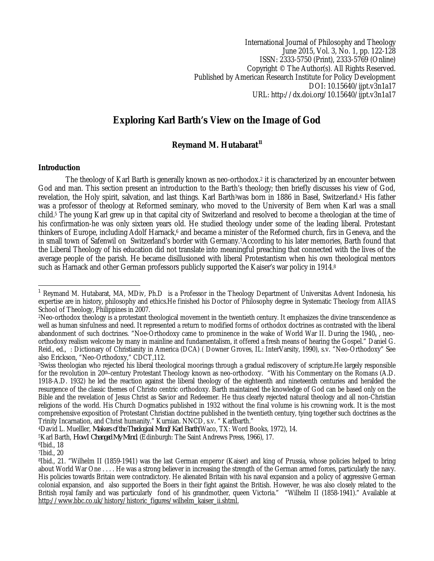International Journal of Philosophy and Theology June 2015, Vol. 3, No. 1, pp. 122-128 ISSN: 2333-5750 (Print), 2333-5769 (Online) Copyright © The Author(s). All Rights Reserved. Published by American Research Institute for Policy Development DOI: 10.15640/ijpt.v3n1a17 URL: http://dx.doi.org/10.15640/ijpt.v3n1a17

# **Exploring Karl Barth's View on the Image of God**

# **Reymand M. Hutabarat<sup>11</sup>**

#### **Introduction**

The theology of Karl Barth is generally known as neo-orthodox.<sup>2</sup> it is characterized by an encounter between God and man. This section present an introduction to the Barth's theology; then briefly discusses his view of God, revelation, the Holy spirit, salvation, and last things. Karl Barth<sup>3</sup>was born in 1886 in Basel, Switzerland.<sup>4</sup> His father was a professor of theology at Reformed seminary, who moved to the University of Bern when Karl was a small child.<sup>5</sup> The young Karl grew up in that capital city of Switzerland and resolved to become a theologian at the time of his confirmation-he was only sixteen years old. He studied theology under some of the leading liberal. Protestant thinkers of Europe, including Adolf Harnack,<sup>6</sup> and became a minister of the Reformed church, firs in Geneva, and the in small town of Safenwil on Switzerland's border with Germany.7According to his later memories, Barth found that the Liberal Theology of his education did not translate into meaningful preaching that connected with the lives of the average people of the parish. He became disillusioned with liberal Protestantism when his own theological mentors such as Harnack and other German professors publicly supported the Kaiser's war policy in 1914.<sup>8</sup>

 $\overline{\phantom{a}}$ <sup>1</sup> Reymand M. Hutabarat, MA, MDiv, Ph.D is a Professor in the Theology Department of Universitas Advent Indonesia, his expertise are in history, philosophy and ethics.He finished his Doctor of Philosophy degree in Systematic Theology from AIIAS School of Theology, Philippines in 2007.

<sup>2</sup>Neo-orthodox theology is a protestant theological movement in the twentieth century. It emphasizes the divine transcendence as well as human sinfulness and need. It represented a return to modified forms of orthodox doctrines as contrasted with the liberal abandonment of such doctrines. "Noe-Orthodoxy came to prominence in the wake of World War II. During the 1940 $s$ , neoorthodoxy realism welcome by many in mainline and fundamentalism, it offered a fresh means of hearing the Gospel." Daniel G. Reid., ed., : Dictionary of Christianity in America (DCA) ( Downer Groves, IL: InterVarsity, 1990), s.v. "Neo-Orthodoxy" See also Erickson, "Neo-Orthodoxy," CDCT,112.

<sup>3</sup>Swiss theologian who rejected his liberal theological moorings through a gradual rediscovery of scripture.He largely responsible for the revolution in 20th-century Protestant Theology known as neo-orthodoxy. "With his Commentary on the Romans (A.D. 1918-A.D. 1932) he led the reaction against the liberal theology of the eighteenth and nineteenth centuries and heralded the resurgence of the classic themes of Christo centric orthodoxy. Barth maintained the knowledge of God can be based only on the Bible and the revelation of Jesus Christ as Savior and Redeemer. He thus clearly rejected natural theology and all non-Christian religions of the world. His Church Dogmatics published in 1932 without the final volume is his crowning work. It is the most comprehensive exposition of Protestant Christian doctrine published in the twentieth century, tying together such doctrines as the Trinity Incarnation, and Christ humanity." Kurnian. NNCD, s.v. " Karlbarth."

<sup>4</sup>David L. Muelller, *Makers of the Theological Mind/Karl Barth*(Waco, TX: Word Books, 1972), 14.

<sup>5</sup>Karl Barth, *How I Changed My Mind*, (Edinburgh: The Saint Andrews Press, 1966), 17.

<sup>6</sup>Ibid., 18

<sup>7</sup>Ibid., 20

<sup>8</sup>Ibid., 21. "Wilhelm II (1859-1941) was the last German emperor (Kaiser) and king of Prussia, whose policies helped to bring about World War One . . . . He was a strong believer in increasing the strength of the German armed forces, particularly the navy. His policies towards Britain were contradictory. He alienated Britain with his naval expansion and a policy of aggressive German colonial expansion, and also supported the Boers in their fight against the British. However, he was also closely related to the British royal family and was particularly fond of his grandmother, queen Victoria." "Wilhelm II (1858-1941)." Available at http://www.bbc.co.uk/history/historic\_figures/wilhelm\_kaiser\_ii.shtml.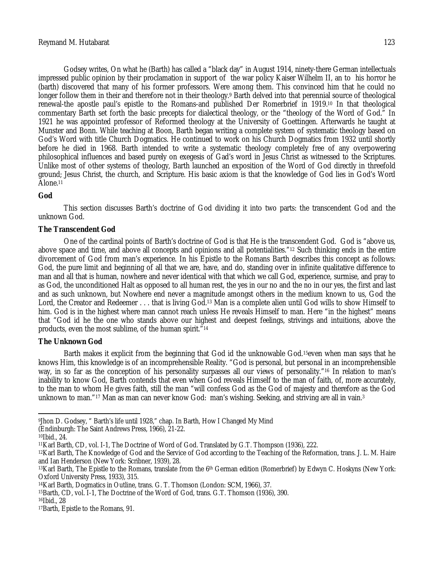Godsey writes, On what he (Barth) has called a "black day" in August 1914, ninety-there German intellectuals impressed public opinion by their proclamation in support of the war policy Kaiser Wilhelm II, an to his horror he (barth) discovered that many of his former professors. Were among them. This convinced him that he could no longer follow them in their and therefore not in their theology.<sup>9</sup> Barth delved into that perennial source of theological renewal-the apostle paul's epistle to the Romans-and published Der Romerbrief in 1919.<sup>10</sup> In that theological commentary Barth set forth the basic precepts for dialectical theology, or the "theology of the Word of God." In 1921 he was appointed professor of Reformed theology at the University of Goettingen. Afterwards he taught at Munster and Bonn. While teaching at Boon, Barth began writing a complete system of systematic theology based on God's Word with title Church Dogmatics. He continued to work on his Church Dogmatics from 1932 until shortly before he died in 1968. Barth intended to write a systematic theology completely free of any overpowering philosophical influences and based purely on exegesis of Gad's word in Jesus Christ as witnessed to the Scriptures. Unlike most of other systems of theology, Barth launched an exposition of the Word of God directly in threefold ground; Jesus Christ, the church, and Scripture. His basic axiom is that the knowledge of God lies in God's Word Alone.<sup>11</sup>

# **God**

This section discusses Barth's doctrine of God dividing it into two parts: the transcendent God and the unknown God.

## **The Transcendent God**

One of the cardinal points of Barth's doctrine of God is that He is the transcendent God. God is "above us, above space and time, and above all concepts and opinions and all potentialities."<sup>12</sup> Such thinking ends in the entire divorcement of God from man's experience. In his Epistle to the Romans Barth describes this concept as follows: God, the pure limit and beginning of all that we are, have, and do, standing over in infinite qualitative difference to man and all that is human, nowhere and never identical with that which we call God, experience, surmise, and pray to as God, the unconditioned Halt as opposed to all human rest, the yes in our no and the no in our yes, the first and last and as such unknown, but Nowhere end never a magnitude amongst others in the medium known to us, God the Lord, the Creator and Redeemer . . . that is living God.<sup>13</sup> Man is a complete alien until God wills to show Himself to him. God is in the highest where man cannot reach unless He reveals Himself to man. Here "in the highest" means that "God id he the one who stands above our highest and deepest feelings, strivings and intuitions, above the products, even the most sublime, of the human spirit."<sup>14</sup>

#### **The Unknown God**

Barth makes it explicit from the beginning that God id the unknowable God.15even when man says that he knows Him, this knowledge is of an incomprehensible Reality. "God is personal, but personal in an incomprehensible way, in so far as the conception of his personality surpasses all our views of personality."<sup>16</sup> In relation to man's inability to know God, Barth contends that even when God reveals Himself to the man of faith, of, more accurately, to the man to whom He gives faith, still the man "will confess God as the God of majesty and therefore as the God unknown to man."<sup>17</sup> Man as man can never know God: man's wishing. Seeking, and striving are all in vain.<sup>3</sup>

 $\overline{a}$ <sup>9</sup>Jhon D. Godsey, " Barth's life until 1928," chap. In Barth, How I Changed My Mind

<sup>(</sup>Endinburgh: The Saint Andrews Press, 1966), 21-22.

<sup>10</sup>Ibid., 24.

<sup>11</sup>Karl Barth, CD, vol. I-1, The Doctrine of Word of God. Translated by G.T. Thompson (1936), 222.

<sup>12</sup>Karl Barth, The Knowledge of God and the Service of God according to the Teaching of the Reformation, trans. J. L. M. Haire and Ian Henderson (New York: Scribner, 1939), 28.

 $^{13}$ Karl Barth, The Epistle to the Romans, translate from the 6<sup>th</sup> German edition (Romerbrief) by Edwyn C. Hoskyns (New York: Oxford University Press, 1933), 315.

<sup>14</sup>Karl Barth, Dogmatics in Outline, trans. G. T. Thomson (London: SCM, 1966), 37.

<sup>15</sup>Barth, CD, vol. I-1, The Doctrine of the Word of God, trans. G.T. Thomson (1936), 390.

<sup>16</sup>Ibid., 28

<sup>17</sup>Barth, Epistle to the Romans, 91.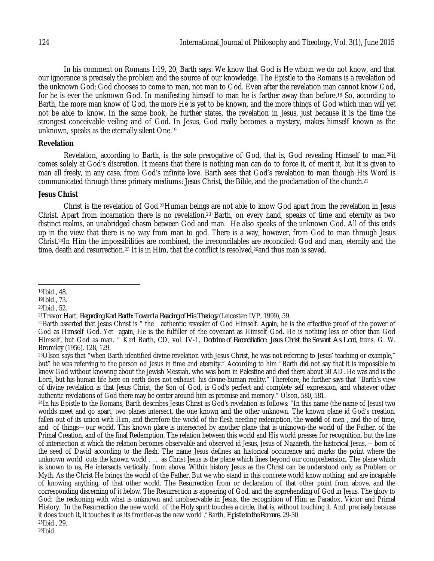In his comment on Romans 1:19, 20, Barth says: We know that God is He whom we do not know, and that our ignorance is precisely the problem and the source of our knowledge. The Epistle to the Romans is a revelation od the unknown God; God chooses to come to man, not man to God. Even after the revelation man cannot know God, for he is ever the unknown God. In manifesting himself to man he is farther away than before.<sup>18</sup> So, according to Barth, the more man know of God, the more He is yet to be known, and the more things of God which man will yet not be able to know. In the same book, he further states, the revelation in Jesus, just because it is the time the strongest conceivable veiling and of God. In Jesus, God really becomes a mystery, makes himself known as the unknown, speaks as the eternally silent One.<sup>19</sup>

#### **Revelation**

Revelation, according to Barth, is the sole prerogative of God, that is, God revealing Himself to man.20it comes solely at God's discretion. It means that there is nothing man can do to force it, of merit it, but it is given to man all freely, in any case, from God's infinite love. Barth sees that God's revelation to man though His Word is communicated through three primary mediums: Jesus Christ, the Bible, and the proclamation of the church.<sup>21</sup>

## **Jesus Christ**

Christ is the revelation of God.22Human beings are not able to know God apart from the revelation in Jesus Christ. Apart from incarnation there is no revelation.<sup>23</sup> Barth, on every hand, speaks of time and eternity as two distinct realms, an unabridged chasm between God and man. He also speaks of the unknown God. All of this ends up in the view that there is no way from man to god. There is a way, however, from God to man through Jesus Christ.24In Him the impossibilities are combined, the irreconcilables are reconciled: God and man, eternity and the time, death and resurrection.<sup>25</sup> It is in Him, that the conflict is resolved,<sup>26</sup>and thus man is saved.

 $26$ Ibid.

 $\overline{a}$ <sup>18</sup>Ibid., 48.

<sup>19</sup>Ibid., 73.

<sup>20</sup>Ibid., 52.

<sup>21</sup>Trevor Hart, *Regarding Karl Barth: Toward a Reading of His Theology* (Leicester: IVP, 1999), 59.

<sup>22</sup>Barth asserted that Jesus Christ is " the authentic revealer of God Himself. Again, he is the effective proof of the power of God as Himself God. Yet again, He is the fulfiller of the covenant as Himself God. He is nothing less or other than God Himself, but God as man. " Karl Barth, CD, vol. IV-1, *Doctrine of Reconciliation: Jesus Christ the Servant As Lord*, trans. G. W. Bromiley (1956). 128, 129.

<sup>23</sup>Olson says that "when Barth identified divine revelation with Jesus Christ, he was not referring to Jesus' teaching or example," but" he was referring to the person od Jesus in time and eternity." According to him "Barth did not say that it is impossible to know God without knowing about the Jewish Messiah, who was born in Palestine and died there about 30 AD. He was and is the Lord, but his human life here on earth does not exhaust his divine-human reality." Therefore, he further says that "Barth's view of divine revelation is that Jesus Christ, the Son of God, is God's perfect and complete self expression, and whatever other authentic revelations of God there may be center around him as promise and memory." Olson, 580, 581.

<sup>24</sup>In his Epistle to the Romans, Barth describes Jesus Christ as God's revelation as follows: "In this name (the name of Jesus) two worlds meet and go apart, two planes intersect, the one known and the other unknown. The known plane id God's creation, fallen out of its union with Him, and therefore the world of the flesh needing redemption, the **world** of men , and the of time, and of things—our world. This known place is intersected by another plane that is unknown-the world of the Father, of the Primal Creation, and of the final Redemption. The relation between this world and His world presses for recognition, but the line of intersection at which the relation becomes observable and observed id Jesus, Jesus of Nazareth, the historical Jesus, -- born of the seed of David according to the flesh. The name Jesus defines an historical occurrence and marks the point where the unknown world cuts the known world . . . as Christ Jesus is the plane which lines beyond our comprehension. The plane which is known to us, He intersects vertically, from above. Within history Jesus as the Christ can be understood only as Problem or Myth. As the Christ He brings the world of the Father. But we who stand in this concrete world know nothing, and are incapable of knowing anything, of that other world. The Resurrection from or declaration of that other point from above, and the corresponding discerning of it below. The Resurrection is appearing of God, and the apprehending of God in Jesus. The glory to God: the reckoning with what is unknown and unobservable in Jesus, the recognition of Him as Paradox, Victor and Primal History. In the Resurrection the new world of the Holy spirit touches a circle, that is, without touching it. And, precisely because it does touch it, it touches it as its frontier-as the new world ."Barth, *Epistle to the Romans*, 29-30. <sup>25</sup>Ibid., 29.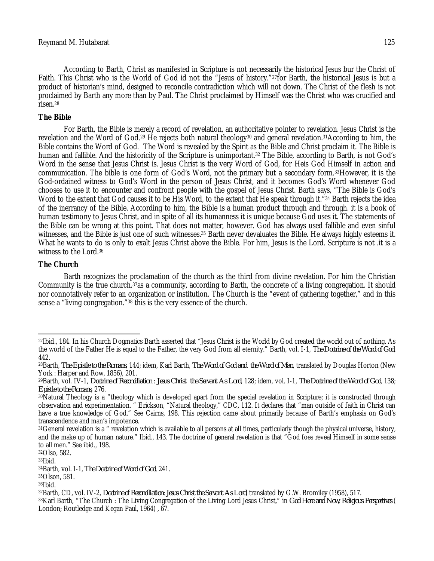According to Barth, Christ as manifested in Scripture is not necessarily the historical Jesus bur the Christ of Faith. This Christ who is the World of God id not the "Jesus of history."<sup>27</sup>for Barth, the historical Jesus is but a product of historian's mind, designed to reconcile contradiction which will not down. The Christ of the flesh is not proclaimed by Barth any more than by Paul. The Christ proclaimed by Himself was the Christ who was crucified and risen.<sup>28</sup>

#### **The Bible**

For Barth, the Bible is merely a record of revelation, an authoritative pointer to revelation. Jesus Christ is the revelation and the Word of God.<sup>29</sup> He rejects both natural theology<sup>30</sup> and general revelation.31According to him, the Bible contains the Word of God. The Word is revealed by the Spirit as the Bible and Christ proclaim it. The Bible is human and fallible. And the historicity of the Scripture is unimportant.<sup>32</sup> The Bible, according to Barth, is not God's Word in the sense that Jesus Christ is. Jesus Christ is the very Word of God, for Heis God Himself in action and communication. The bible is one form of God's Word, not the primary but a secondary form.33However, it is the God-ordained witness to God's Word in the person of Jesus Christ, and it becomes God's Word whenever God chooses to use it to encounter and confront people with the gospel of Jesus Christ. Barth says, "The Bible is God's Word to the extent that God causes it to be His Word, to the extent that He speak through it."<sup>34</sup> Barth rejects the idea of the inerrancy of the Bible. According to him, the Bible is a human product through and through. it is a book of human testimony to Jesus Christ, and in spite of all its humanness it is unique because God uses it. The statements of the Bible can be wrong at this point. That does not matter, however. God has always used fallible and even sinful witnesses, and the Bible is just one of such witnesses.<sup>35</sup> Barth never devaluates the Bible. He always highly esteems it. What he wants to do is only to exalt Jesus Christ above the Bible. For him, Jesus is the Lord. Scripture is not .it is a witness to the Lord.<sup>36</sup>

# **The Church**

Barth recognizes the proclamation of the church as the third from divine revelation. For him the Christian Community is the true church.37as a community, according to Barth, the concrete of a living congregation. It should nor connotatively refer to an organization or institution. The Church is the "event of gathering together," and in this sense a "living congregation."<sup>38</sup> this is the very essence of the church.

<sup>32</sup>Olso, 582.

 $33$  $1$ bid.

<sup>35</sup>Olson, 581.

 $36$  $1$ hid

 $\overline{a}$ <sup>27</sup>Ibid., 184. In his Church Dogmatics Barth asserted that "Jesus Christ is the World by God created the world out of nothing. As the world of the Father He is equal to the Father, the very God from all eternity." Barth, vol. I-1, *The Doctrine of the Word of God*, 442.

<sup>28</sup>Barth, *The Epistle to the Romans*, 144; idem, Karl Barth, *The Word of God and the Word of Man*, translated by Douglas Horton (New York : Harper and Row, 1856), 201.

<sup>29</sup>Barth, vol. IV-1, *Doctrine of Reconciliation : Jesus Christ the Servant As Lord*, 128; idem, vol. I-1, *The Doctrine of the Word of God*, 138; *Epistle to the Romans*, 276.

<sup>&</sup>lt;sup>30</sup>Natural Theology is a "theology which is developed apart from the special revelation in Scripture; it is constructed through observation and experimentation. " Erickson, "Natural theology," CDC, 112. It declares that "man outside of faith in Christ can have a true knowledge of God." See Cairns, 198. This rejection came about primarily because of Barth's emphasis on God's transcendence and man's impotence.

<sup>31</sup>General revelation is a " revelation which is available to all persons at all times, particularly though the physical universe, history, and the make up of human nature." Ibid., 143. The doctrine of general revelation is that "God foes reveal Himself in some sense to all men." See ibid., 198.

<sup>34</sup>Barth, vol. I-1, *The Doctrine of Word of God*, 241.

<sup>37</sup>Barth, CD, vol. IV-2, *Doctrine of Reconciliation: Jesus Christ the Servant As Lord*, translated by G.W. Bromiley (1958), 517.

<sup>38</sup>Karl Barth, "The Church : The Living Congregation of the Living Lord Jesus Christ," in *God Here and Now, Religious Perspectives* ( London; Routledge and Kegan Paul, 1964) , 67.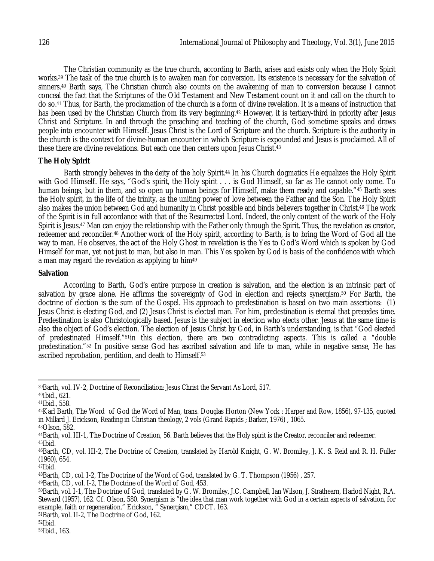The Christian community as the true church, according to Barth, arises and exists only when the Holy Spirit works.<sup>39</sup> The task of the true church is to awaken man for conversion. Its existence is necessary for the salvation of sinners.<sup>40</sup> Barth says, The Christian church also counts on the awakening of man to conversion because I cannot conceal the fact that the Scriptures of the Old Testament and New Testament count on it and call on the church to do so.<sup>41</sup> Thus, for Barth, the proclamation of the church is a form of divine revelation. It is a means of instruction that has been used by the Christian Church from its very beginning.<sup>42</sup> However, it is tertiary-third in priority after Jesus Christ and Scripture. In and through the preaching and teaching of the church, God sometime speaks and draws people into encounter with Himself. Jesus Christ is the Lord of Scripture and the church. Scripture is the authority in the church is the context for divine-human encounter in which Scripture is expounded and Jesus is proclaimed. All of these there are divine revelations. But each one then centers upon Jesus Christ.<sup>43</sup>

# **The Holy Spirit**

Barth strongly believes in the deity of the holy Spirit.<sup>44</sup> In his Church dogmatics He equalizes the Holy Spirit with God Himself. He says, "God's spirit, the Holy spirit . . . is God Himself, so far as He cannot only come. To human beings, but in them, and so open up human beings for Himself, make them ready and capable."<sup>45</sup> Barth sees the Holy spirit, in the life of the trinity, as the uniting power of love between the Father and the Son. The Holy Spirit also makes the union between God and humanity in Christ possible and binds believers together in Christ.<sup>46</sup> The work of the Spirit is in full accordance with that of the Resurrected Lord. Indeed, the only content of the work of the Holy Spirit is Jesus.<sup>47</sup> Man can enjoy the relationship with the Father only through the Spirit. Thus, the revelation as creator, redeemer and reconciler.<sup>48</sup> Another work of the Holy spirit, according to Barth, is to bring the Word of God all the way to man. He observes, the act of the Holy Ghost in revelation is the Yes to God's Word which is spoken by God Himself for man, yet not just to man, but also in man. This Yes spoken by God is basis of the confidence with which a man may regard the revelation as applying to him<sup>49</sup>

## **Salvation**

According to Barth, God's entire purpose in creation is salvation, and the election is an intrinsic part of salvation by grace alone. He affirms the sovereignty of God in election and rejects synergism.<sup>50</sup> For Barth, the doctrine of election is the sum of the Gospel. His approach to predestination is based on two main assertions: (1) Jesus Christ is electing God, and (2) Jesus Christ is elected man. For him, predestination is eternal that precedes time. Predestination is also Christologically based. Jesus is the subject in election who elects other. Jesus at the same time is also the object of God's election. The election of Jesus Christ by God, in Barth's understanding, is that "God elected of predestinated Himself."51in this election, there are two contradicting aspects. This is called a "double predestination."<sup>52</sup> In positive sense God has ascribed salvation and life to man, while in negative sense, He has ascribed reprobation, perdition, and death to Himself.<sup>53</sup>

<sup>43</sup>Olson, 582.

 $\overline{\phantom{a}}$ <sup>39</sup>Barth, vol. IV-2, Doctrine of Reconciliation: Jesus Christ the Servant As Lord, 517.

<sup>40</sup>Ibid., 621.

<sup>41</sup>Ibid., 558.

<sup>42</sup>Karl Barth, The Word of God the Word of Man, trans. Douglas Horton (New York : Harper and Row, 1856), 97-135, quoted in Millard J. Erickson, Reading in Christian theology, 2 vols (Grand Rapids ; Barker, 1976) , 1065.

<sup>44</sup>Barth, vol. III-1, The Doctrine of Creation, 56. Barth believes that the Holy spirit is the Creator, reconciler and redeemer.  $45$  $Ibid.$ 

<sup>46</sup>Barth, CD, vol. III-2, The Doctrine of Creation, translated by Harold Knight, G. W. Bromiley, J. K. S. Reid and R. H. Fuller (1960), 654.

 $47$ Ibid.

<sup>48</sup>Barth, CD, col. I-2, The Doctrine of the Word of God, translated by G. T. Thompson (1956) , 257.

<sup>49</sup>Barth, CD, vol. I-2, The Doctrine of the Word of God, 453.

<sup>50</sup>Barth, vol. I-1, The Doctrine of God, translated by G. W. Bromiley, J.C. Campbell, Ian Wilson, J. Strathearn, Harlod Night, R.A. Steward (1957), 162. Cf. Olson, 580. Synergism is "the idea that man work together with God in a certain aspects of salvation, for example, faith or regeneration." Erickson, " Synergism," CDCT. 163.

<sup>51</sup>Barth, vol. II-2, The Doctrine of God, 162.

 $52$  | bid.

<sup>53</sup>Ibid., 163.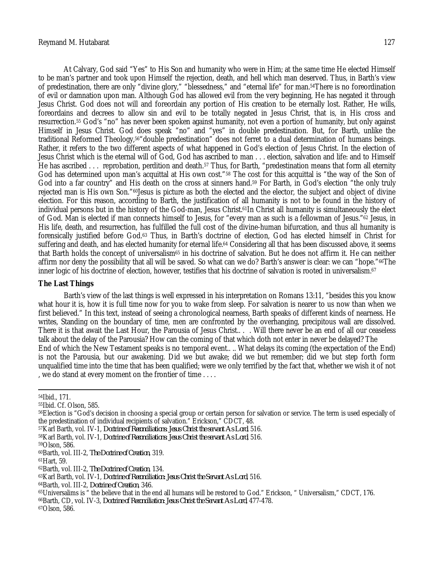At Calvary, God said "Yes" to His Son and humanity who were in Him; at the same time He elected Himself to be man's partner and took upon Himself the rejection, death, and hell which man deserved. Thus, in Barth's view of predestination, there are only "divine glory," "blessedness," and "eternal life" for man.54There is no foreordination of evil or damnation upon man. Although God has allowed evil from the very beginning, He has negated it through Jesus Christ. God does not will and foreordain any portion of His creation to be eternally lost. Rather, He wills, foreordains and decrees to allow sin and evil to be totally negated in Jesus Christ, that is, in His cross and resurrection.<sup>55</sup> God's "no" has never been spoken against humanity, not even a portion of humanity, but only against Himself in Jesus Christ. God does speak "no" and "yes" in double predestination. But, for Barth, unlike the traditional Reformed Theology,56"double predestination" does not ferret to a dual determination of humans beings. Rather, it refers to the two different aspects of what happened in God's election of Jesus Christ. In the election of Jesus Christ which is the eternal will of God, God has ascribed to man . . . election, salvation and life: and to Himself He has ascribed . . . reprobation, perdition and death. <sup>57</sup> Thus, for Barth, "predestination means that form all eternity God has determined upon man's acquittal at His own cost."<sup>58</sup> The cost for this acquittal is "the way of the Son of God into a far country" and His death on the cross at sinners hand.<sup>59</sup> For Barth, in God's election "the only truly rejected man is His own Son."60Jesus is picture as both the elected and the elector, the subject and object of divine election. For this reason, according to Barth, the justification of all humanity is not to be found in the history of individual persons but in the history of the God-man, Jesus Christ.61In Christ all humanity is simultaneously the elect of God. Man is elected if man connects himself to Jesus, for "every man as such is a fellowman of Jesus."<sup>62</sup> Jesus, in His life, death, and resurrection, has fulfilled the full cost of the divine-human bifurcation, and thus all humanity is forensically justified before God.<sup>63</sup> Thus, in Barth's doctrine of election, God has elected himself in Christ for suffering and death, and has elected humanity for eternal life.<sup>64</sup> Considering all that has been discussed above, it seems that Barth holds the concept of universalism<sup>65</sup> in his doctrine of salvation. But he does not affirm it. He can neither affirm nor deny the possibility that all will be saved. So what can we do? Barth's answer is clear: we can "hope."66The inner logic of his doctrine of election, however, testifies that his doctrine of salvation is rooted in universalism.<sup>67</sup>

# **The Last Things**

Barth's view of the last things is well expressed in his interpretation on Romans 13:11, "besides this you know what hour it is, how it is full time now for you to wake from sleep. For salvation is nearer to us now than when we first believed." In this text, instead of seeing a chronological nearness, Barth speaks of different kinds of nearness. He writes, Standing on the boundary of time, men are confronted by the overhanging, precipitous wall are dissolved. There it is that await the Last Hour, the Parousia of Jesus Christ.. . . Will there never be an end of all our ceaseless talk about the delay of the Parousia? How can the coming of that which doth not enter in never be delayed? The End of which the New Testament speaks is no temporal event.. .. What delays its coming (the expectation of the End) is not the Parousia, but our awakening. Did we but awake; did we but remember; did we but step forth form unqualified time into the time that has been qualified; were we only terrified by the fact that, whether we wish it of not , we do stand at every moment on the frontier of time . . . .

 $\overline{a}$ <sup>54</sup>Ibid., 171.

<sup>55</sup>Ibid. Cf. Olson, 585.

<sup>56</sup>Election is "God's decision in choosing a special group or certain person for salvation or service. The term is used especially of the predestination of individual recipients of salvation." Erickson," CDCT, 48.

<sup>57</sup>Karl Barth, vol. IV-1, *Doctrine of Reconciliations: Jesus Christ the servant As Lord*, 516.

<sup>58</sup>Karl Barth, vol. IV-1, *Doctrine of Reconciliations: Jesus Christ the servant As Lord*, 516.

<sup>59</sup>Olson, 586.

<sup>60</sup>Barth, vol. III-2, *The Doctrine of Creation*, 319.

<sup>61</sup>Hart, 59.

<sup>62</sup>Barth, vol. III-2, *The Doctrine of Creation*, 134.

<sup>63</sup>Karl Barth, vol. IV-1, *Doctrine of Reconciliation: Jesus Christ the Servant As Lord*, 516.

<sup>64</sup>Barth, vol. III-2, *Doctrine of Creation*, 346.

<sup>65</sup>Universalims is " the believe that in the end all humans will be restored to God." Erickson, " Universalism," CDCT, 176.

<sup>66</sup>Barth, CD, vol. IV-3, *Doctrine of Reconciliation: Jesus Christ the Servant As Lord*, 477-478.

<sup>67</sup>Olson, 586.